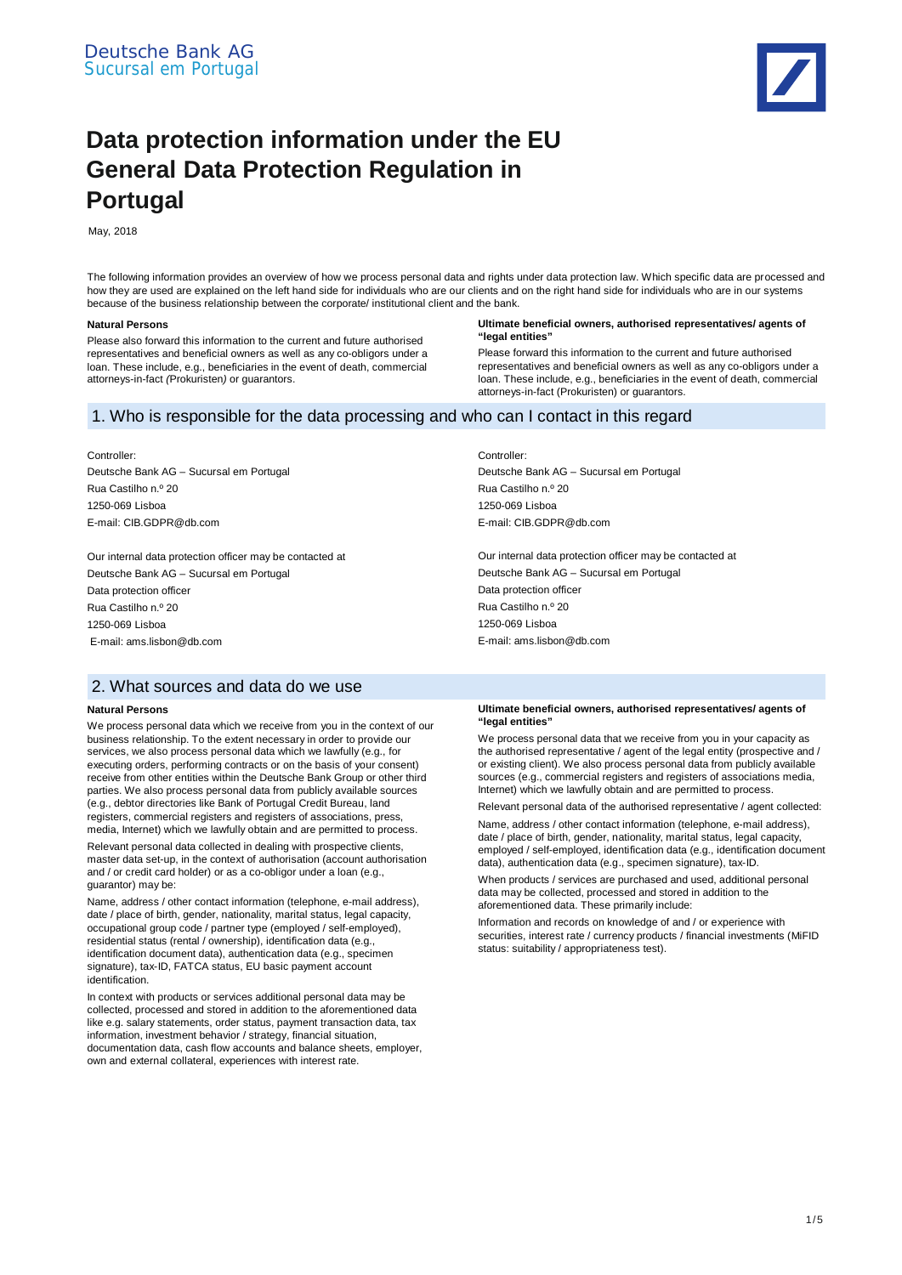

# **Data protection information under the EU General Data Protection Regulation in Portugal**

May, 2018

The following information provides an overview of how we process personal data and rights under data protection law. Which specific data are processed and how they are used are explained on the left hand side for individuals who are our clients and on the right hand side for individuals who are in our systems because of the business relationship between the corporate/ institutional client and the bank.

#### **Natural Persons**

Please also forward this information to the current and future authorised representatives and beneficial owners as well as any co-obligors under a loan. These include, e.g., beneficiaries in the event of death, commercial attorneys-in-fact *(*Prokuristen*)* or guarantors.

#### **Ultimate beneficial owners, authorised representatives/ agents of "legal entities"**

Please forward this information to the current and future authorised representatives and beneficial owners as well as any co-obligors under a loan. These include, e.g., beneficiaries in the event of death, commercial attorneys-in-fact (Prokuristen) or guarantors.

# 1. Who is responsible for the data processing and who can I contact in this regard

Controller:

Deutsche Bank AG – Sucursal em Portugal Rua Castilho n.º 20 1250-069 Lisboa E-mail: CIB.GDPR@db.com

Our internal data protection officer may be contacted at Deutsche Bank AG – Sucursal em Portugal Data protection officer Rua Castilho n.º 20 1250-069 Lisboa E-mail: ams.lisbon@db.com

# 2. What sources and data do we use

#### **Natural Persons**

We process personal data which we receive from you in the context of our business relationship. To the extent necessary in order to provide our services, we also process personal data which we lawfully (e.g., for executing orders, performing contracts or on the basis of your consent) receive from other entities within the Deutsche Bank Group or other third parties. We also process personal data from publicly available sources (e.g., debtor directories like Bank of Portugal Credit Bureau, land registers, commercial registers and registers of associations, press, media, Internet) which we lawfully obtain and are permitted to process.

Relevant personal data collected in dealing with prospective clients, master data set-up, in the context of authorisation (account authorisation and / or credit card holder) or as a co-obligor under a loan (e.g., guarantor) may be:

Name, address / other contact information (telephone, e-mail address), date / place of birth, gender, nationality, marital status, legal capacity, occupational group code / partner type (employed / self-employed), residential status (rental / ownership), identification data (e.g., identification document data), authentication data (e.g., specimen signature), tax-ID, FATCA status, EU basic payment account identification.

In context with products or services additional personal data may be collected, processed and stored in addition to the aforementioned data like e.g. salary statements, order status, payment transaction data, tax information, investment behavior / strategy, financial situation, documentation data, cash flow accounts and balance sheets, employer, own and external collateral, experiences with interest rate.

Controller: Deutsche Bank AG – Sucursal em Portugal Rua Castilho n.º 20 1250-069 Lisboa E-mail: CIB.GDPR@db.com

Our internal data protection officer may be contacted at Deutsche Bank AG – Sucursal em Portugal Data protection officer Rua Castilho n.º 20 1250-069 Lisboa E-mail: ams.lisbon@db.com

#### **Ultimate beneficial owners, authorised representatives/ agents of "legal entities"**

We process personal data that we receive from you in your capacity as the authorised representative / agent of the legal entity (prospective and / or existing client). We also process personal data from publicly available sources (e.g., commercial registers and registers of associations media, Internet) which we lawfully obtain and are permitted to process.

Relevant personal data of the authorised representative / agent collected:

Name, address / other contact information (telephone, e-mail address), date / place of birth, gender, nationality, marital status, legal capacity, employed / self-employed, identification data (e.g., identification document data), authentication data (e.g., specimen signature), tax-ID.

When products / services are purchased and used, additional personal data may be collected, processed and stored in addition to the aforementioned data. These primarily include:

Information and records on knowledge of and / or experience with securities, interest rate / currency products / financial investments (MiFID status: suitability / appropriateness test).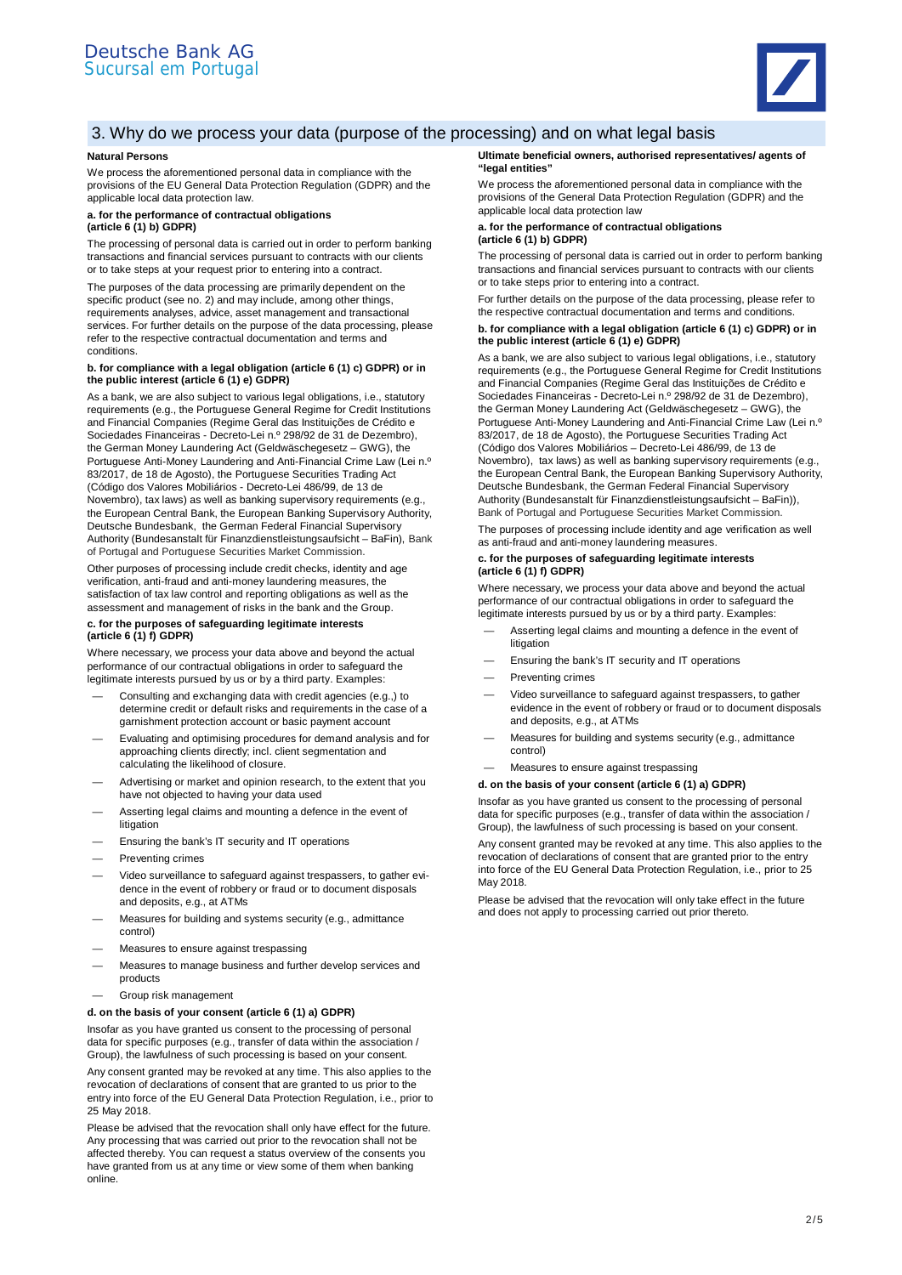

# 3. Why do we process your data (purpose of the processing) and on what legal basis

### **Natural Persons**

We process the aforementioned personal data in compliance with the provisions of the EU General Data Protection Regulation (GDPR) and the applicable local data protection law.

#### **a. for the performance of contractual obligations (article 6 (1) b) GDPR)**

The processing of personal data is carried out in order to perform banking transactions and financial services pursuant to contracts with our clients or to take steps at your request prior to entering into a contract.

The purposes of the data processing are primarily dependent on the specific product (see no. 2) and may include, among other things, requirements analyses, advice, asset management and transactional services. For further details on the purpose of the data processing, please refer to the respective contractual documentation and terms and conditions.

#### **b. for compliance with a legal obligation (article 6 (1) c) GDPR) or in the public interest (article 6 (1) e) GDPR)**

As a bank, we are also subject to various legal obligations, i.e., statutory requirements (e.g., the Portuguese General Regime for Credit Institutions and Financial Companies (Regime Geral das Instituições de Crédito e Sociedades Financeiras - Decreto-Lei n.º 298/92 de 31 de Dezembro), the German Money Laundering Act (Geldwäschegesetz – GWG), the Portuguese Anti-Money Laundering and Anti-Financial Crime Law (Lei n.º 83/2017, de 18 de Agosto), the Portuguese Securities Trading Act (Código dos Valores Mobiliários - Decreto-Lei 486/99, de 13 de Novembro), tax laws) as well as banking supervisory requirements (e.g., the European Central Bank, the European Banking Supervisory Authority, Deutsche Bundesbank, the German Federal Financial Supervisory Authority (Bundesanstalt für Finanzdienstleistungsaufsicht – BaFin), Bank of Portugal and Portuguese Securities Market Commission.

Other purposes of processing include credit checks, identity and age verification, anti-fraud and anti-money laundering measures, the satisfaction of tax law control and reporting obligations as well as the assessment and management of risks in the bank and the Group.

#### **c. for the purposes of safeguarding legitimate interests (article 6 (1) f) GDPR)**

Where necessary, we process your data above and beyond the actual performance of our contractual obligations in order to safeguard the legitimate interests pursued by us or by a third party. Examples:

- Consulting and exchanging data with credit agencies (e.g.,) to determine credit or default risks and requirements in the case of a garnishment protection account or basic payment account
- Evaluating and optimising procedures for demand analysis and for approaching clients directly; incl. client segmentation and calculating the likelihood of closure.
- Advertising or market and opinion research, to the extent that you have not objected to having your data used
- Asserting legal claims and mounting a defence in the event of litigation
- Ensuring the bank's IT security and IT operations
- Preventing crimes
- Video surveillance to safeguard against trespassers, to gather evidence in the event of robbery or fraud or to document disposals and deposits, e.g., at ATMs
- Measures for building and systems security (e.g., admittance control)
- Measures to ensure against trespassing
- Measures to manage business and further develop services and products
- Group risk management

#### **d. on the basis of your consent (article 6 (1) a) GDPR)**

Insofar as you have granted us consent to the processing of personal data for specific purposes (e.g., transfer of data within the association / Group), the lawfulness of such processing is based on your consent.

Any consent granted may be revoked at any time. This also applies to the revocation of declarations of consent that are granted to us prior to the entry into force of the EU General Data Protection Regulation, i.e., prior to 25 May 2018.

Please be advised that the revocation shall only have effect for the future. Any processing that was carried out prior to the revocation shall not be affected thereby. You can request a status overview of the consents you have granted from us at any time or view some of them when banking online.

#### **Ultimate beneficial owners, authorised representatives/ agents of "legal entities"**

We process the aforementioned personal data in compliance with the provisions of the General Data Protection Regulation (GDPR) and the applicable local data protection law

#### **a. for the performance of contractual obligations (article 6 (1) b) GDPR)**

The processing of personal data is carried out in order to perform banking transactions and financial services pursuant to contracts with our clients or to take steps prior to entering into a contract.

For further details on the purpose of the data processing, please refer to the respective contractual documentation and terms and conditions.

# **b. for compliance with a legal obligation (article 6 (1) c) GDPR) or in the public interest (article 6 (1) e) GDPR)**

As a bank, we are also subject to various legal obligations, i.e., statutory requirements (e.g., the Portuguese General Regime for Credit Institutions and Financial Companies (Regime Geral das Instituições de Crédito e Sociedades Financeiras - Decreto-Lei n.º 298/92 de 31 de Dezembro), the German Money Laundering Act (Geldwäschegesetz – GWG), the Portuguese Anti-Money Laundering and Anti-Financial Crime Law (Lei n.º 83/2017, de 18 de Agosto), the Portuguese Securities Trading Act (Código dos Valores Mobiliários – Decreto-Lei 486/99, de 13 de Novembro), tax laws) as well as banking supervisory requirements (e.g., the European Central Bank, the European Banking Supervisory Authority, Deutsche Bundesbank, the German Federal Financial Supervisory Authority (Bundesanstalt für Finanzdienstleistungsaufsicht – BaFin)), Bank of Portugal and Portuguese Securities Market Commission.

The purposes of processing include identity and age verification as well as anti-fraud and anti-money laundering measures.

#### **c. for the purposes of safeguarding legitimate interests (article 6 (1) f) GDPR)**

Where necessary, we process your data above and beyond the actual performance of our contractual obligations in order to safeguard the legitimate interests pursued by us or by a third party. Examples:

- Asserting legal claims and mounting a defence in the event of litigation
- Ensuring the bank's IT security and IT operations
- Preventing crimes
- Video surveillance to safeguard against trespassers, to gather evidence in the event of robbery or fraud or to document disposals and deposits, e.g., at ATMs
- Measures for building and systems security (e.g., admittance control)
- Measures to ensure against trespassing

## **d. on the basis of your consent (article 6 (1) a) GDPR)**

Insofar as you have granted us consent to the processing of personal data for specific purposes (e.g., transfer of data within the association / Group), the lawfulness of such processing is based on your consent.

Any consent granted may be revoked at any time. This also applies to the revocation of declarations of consent that are granted prior to the entry into force of the EU General Data Protection Regulation, i.e., prior to 25 May 2018.

Please be advised that the revocation will only take effect in the future and does not apply to processing carried out prior thereto.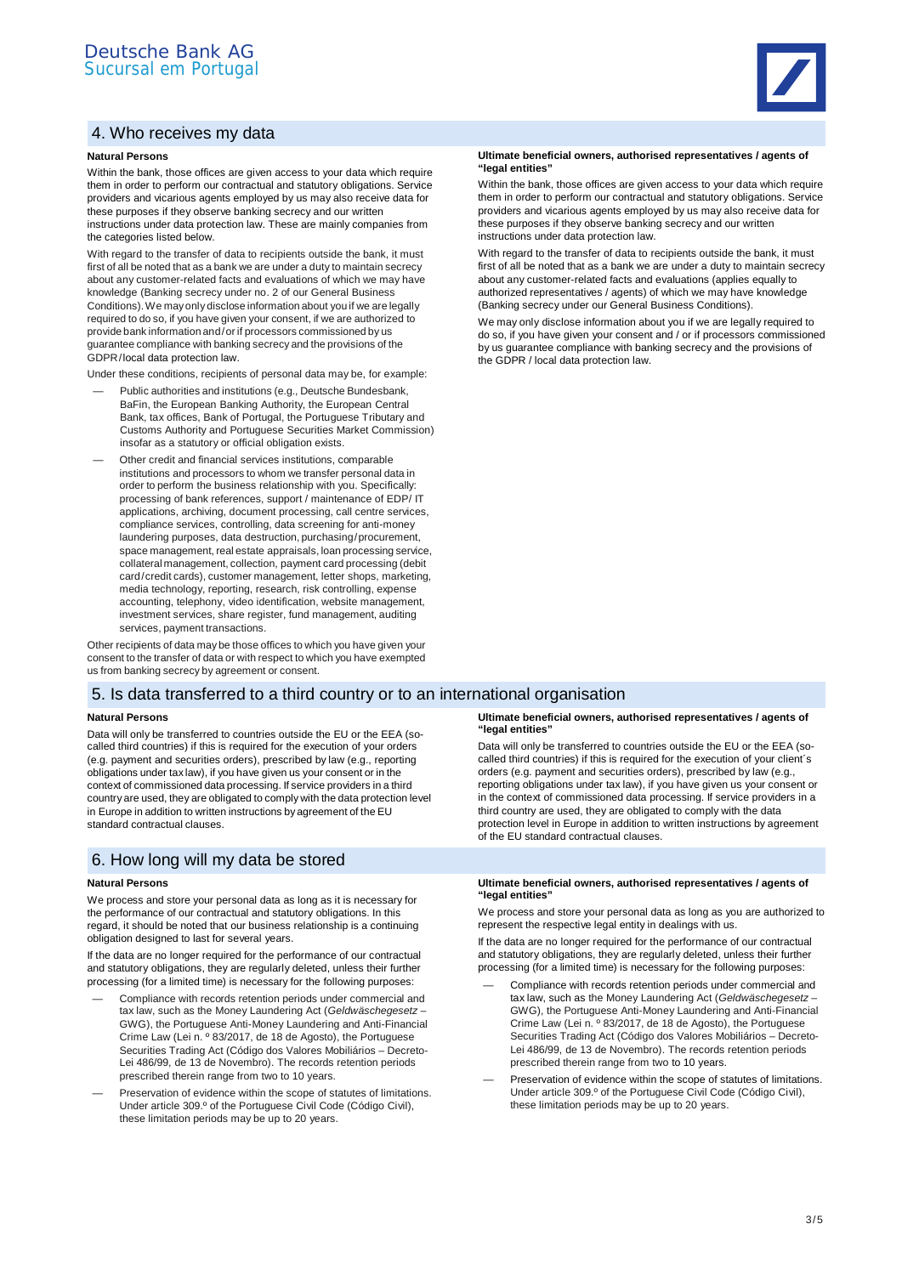# 4. Who receives my data

#### **Natural Persons**

Within the bank, those offices are given access to your data which require them in order to perform our contractual and statutory obligations. Service providers and vicarious agents employed by us may also receive data for these purposes if they observe banking secrecy and our written instructions under data protection law. These are mainly companies from the categories listed below.

With regard to the transfer of data to recipients outside the bank, it must first of all be noted that as a bank we are under a duty to maintain secrecy about any customer-related facts and evaluations of which we may have knowledge (Banking secrecy under no. 2 of our General Business Conditions). We may only disclose information about you if we are legally required to do so, if you have given your consent, if we are authorized to provide bank information and / or if processors commissioned by us guarantee compliance with banking secrecy and the provisions of the GDPR /local data protection law.

Under these conditions, recipients of personal data may be, for example:

- Public authorities and institutions (e.g., Deutsche Bundesbank, BaFin, the European Banking Authority, the European Central Bank, tax offices, Bank of Portugal, the Portuguese Tributary and Customs Authority and Portuguese Securities Market Commission) insofar as a statutory or official obligation exists.
- Other credit and financial services institutions, comparable institutions and processors to whom we transfer personal data in order to perform the business relationship with you. Specifically: processing of bank references, support / maintenance of EDP/ IT applications, archiving, document processing, call centre services, compliance services, controlling, data screening for anti-money laundering purposes, data destruction, purchasing / procurement, space management, real estate appraisals, loan processing service, collateral management, collection, payment card processing (debit card/credit cards), customer management, letter shops, marketing, media technology, reporting, research, risk controlling, expense accounting, telephony, video identification, website management, investment services, share register, fund management, auditing services, payment transactions.

Other recipients of data may be those offices to which you have given your consent to the transfer of data or with respect to which you have exempted us from banking secrecy by agreement or consent.

# 5. Is data transferred to a third country or to an international organisation

#### **Natural Persons**

Data will only be transferred to countries outside the EU or the EEA (socalled third countries) if this is required for the execution of your orders (e.g. payment and securities orders), prescribed by law (e.g., reporting obligations under tax law), if you have given us your consent or in the context of commissioned data processing. If service providers in a third country are used, they are obligated to comply with the data protection level in Europe in addition to written instructions by agreement of the EU standard contractual clauses.

## 6. How long will my data be stored

#### **Natural Persons**

We process and store your personal data as long as it is necessary for the performance of our contractual and statutory obligations. In this regard, it should be noted that our business relationship is a continuing obligation designed to last for several years.

If the data are no longer required for the performance of our contractual and statutory obligations, they are regularly deleted, unless their further processing (for a limited time) is necessary for the following purposes:

- Compliance with records retention periods under commercial and tax law, such as the Money Laundering Act (*Geldwäschegesetz* – GWG), the Portuguese Anti-Money Laundering and Anti-Financial Crime Law (Lei n. º 83/2017, de 18 de Agosto), the Portuguese Securities Trading Act (Código dos Valores Mobiliários – Decreto-Lei 486/99, de 13 de Novembro). The records retention periods prescribed therein range from two to 10 years.
- Preservation of evidence within the scope of statutes of limitations. Under article 309.º of the Portuguese Civil Code (Código Civil), these limitation periods may be up to 20 years.

#### **Ultimate beneficial owners, authorised representatives / agents of "legal entities"**

Within the bank, those offices are given access to your data which require them in order to perform our contractual and statutory obligations. Service providers and vicarious agents employed by us may also receive data for these purposes if they observe banking secrecy and our written instructions under data protection law.

With regard to the transfer of data to recipients outside the bank, it must first of all be noted that as a bank we are under a duty to maintain secrecy about any customer-related facts and evaluations (applies equally to authorized representatives / agents) of which we may have knowledge (Banking secrecy under our General Business Conditions).

We may only disclose information about you if we are legally required to do so, if you have given your consent and / or if processors commissioned by us guarantee compliance with banking secrecy and the provisions of the GDPR / local data protection law.

#### **Ultimate beneficial owners, authorised representatives / agents of "legal entities"**

Data will only be transferred to countries outside the EU or the EEA (socalled third countries) if this is required for the execution of your client´s orders (e.g. payment and securities orders), prescribed by law (e.g. reporting obligations under tax law), if you have given us your consent or in the context of commissioned data processing. If service providers in a third country are used, they are obligated to comply with the data protection level in Europe in addition to written instructions by agreement of the EU standard contractual clauses.

#### **Ultimate beneficial owners, authorised representatives / agents of "legal entities"**

We process and store your personal data as long as you are authorized to represent the respective legal entity in dealings with us.

If the data are no longer required for the performance of our contractual and statutory obligations, they are regularly deleted, unless their further processing (for a limited time) is necessary for the following purposes:

- Compliance with records retention periods under commercial and tax law, such as the Money Laundering Act (*Geldwäschegesetz* – GWG), the Portuguese Anti-Money Laundering and Anti-Financial Crime Law (Lei n. º 83/2017, de 18 de Agosto), the Portuguese Securities Trading Act (Código dos Valores Mobiliários – Decreto-Lei 486/99, de 13 de Novembro). The records retention periods prescribed therein range from two to 10 years.
- Preservation of evidence within the scope of statutes of limitations. Under article 309.º of the Portuguese Civil Code (Código Civil), these limitation periods may be up to 20 years.

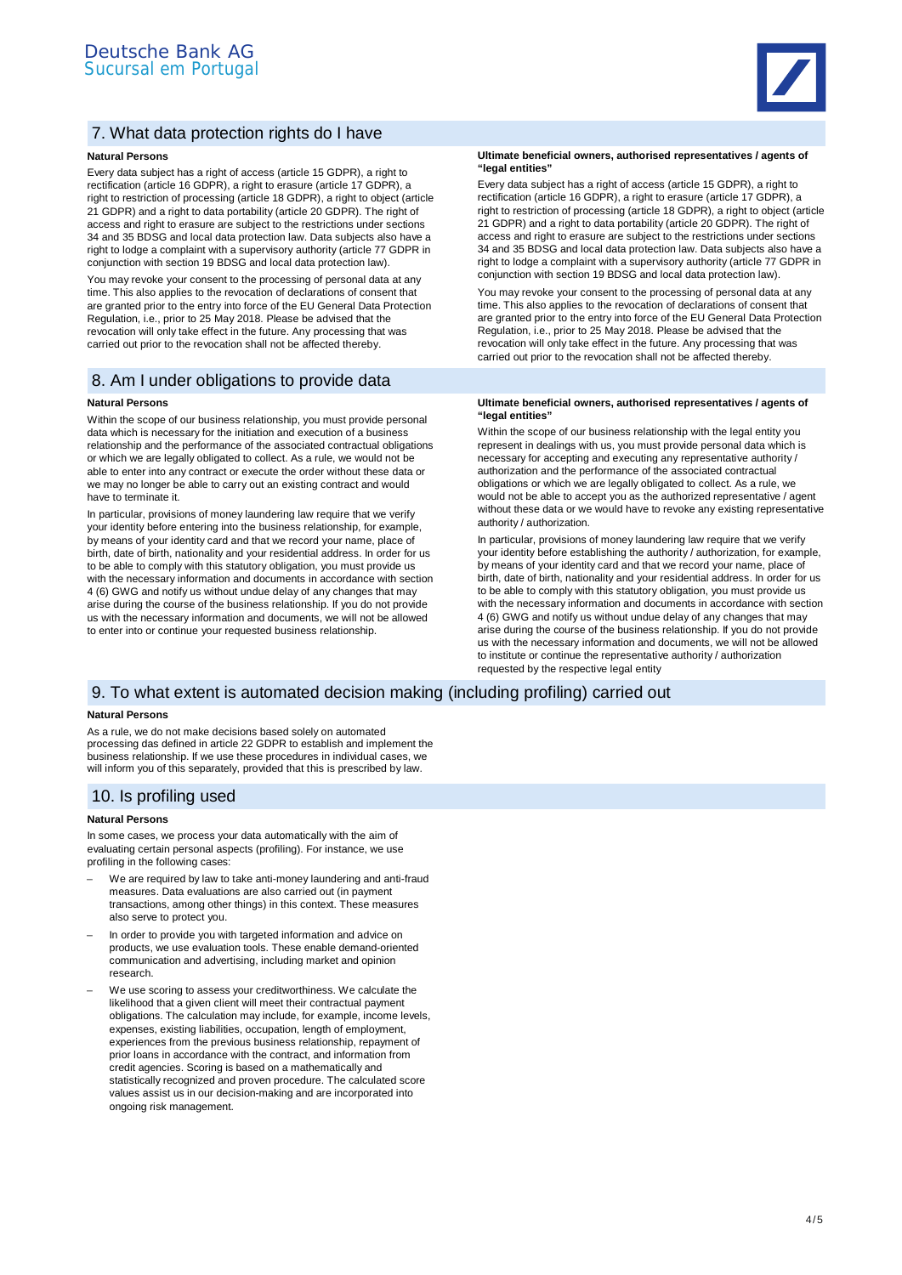

# 7. What data protection rights do I have

## **Natural Persons**

Every data subject has a right of access (article 15 GDPR), a right to rectification (article 16 GDPR), a right to erasure (article 17 GDPR), a right to restriction of processing (article 18 GDPR), a right to object (article 21 GDPR) and a right to data portability (article 20 GDPR). The right of access and right to erasure are subject to the restrictions under sections 34 and 35 BDSG and local data protection law. Data subjects also have a right to lodge a complaint with a supervisory authority (article 77 GDPR in conjunction with section 19 BDSG and local data protection law).

You may revoke your consent to the processing of personal data at any time. This also applies to the revocation of declarations of consent that are granted prior to the entry into force of the EU General Data Protection Regulation, i.e., prior to 25 May 2018. Please be advised that the revocation will only take effect in the future. Any processing that was carried out prior to the revocation shall not be affected thereby.

# 8. Am I under obligations to provide data

#### **Natural Persons**

Within the scope of our business relationship, you must provide personal data which is necessary for the initiation and execution of a business relationship and the performance of the associated contractual obligations or which we are legally obligated to collect. As a rule, we would not be able to enter into any contract or execute the order without these data or we may no longer be able to carry out an existing contract and would have to terminate it.

In particular, provisions of money laundering law require that we verify your identity before entering into the business relationship, for example, by means of your identity card and that we record your name, place of birth, date of birth, nationality and your residential address. In order for us to be able to comply with this statutory obligation, you must provide us with the necessary information and documents in accordance with section 4 (6) GWG and notify us without undue delay of any changes that may arise during the course of the business relationship. If you do not provide us with the necessary information and documents, we will not be allowed to enter into or continue your requested business relationship.

#### **Ultimate beneficial owners, authorised representatives / agents of "legal entities"**

Every data subject has a right of access (article 15 GDPR), a right to rectification (article 16 GDPR), a right to erasure (article 17 GDPR), a right to restriction of processing (article 18 GDPR), a right to object (article 21 GDPR) and a right to data portability (article 20 GDPR). The right of access and right to erasure are subject to the restrictions under sections 34 and 35 BDSG and local data protection law. Data subjects also have a right to lodge a complaint with a supervisory authority (article 77 GDPR in conjunction with section 19 BDSG and local data protection law).

You may revoke your consent to the processing of personal data at any time. This also applies to the revocation of declarations of consent that are granted prior to the entry into force of the EU General Data Protection Regulation, i.e., prior to 25 May 2018. Please be advised that the revocation will only take effect in the future. Any processing that was carried out prior to the revocation shall not be affected thereby.

#### **Ultimate beneficial owners, authorised representatives / agents of "legal entities"**

Within the scope of our business relationship with the legal entity you represent in dealings with us, you must provide personal data which is necessary for accepting and executing any representative authority / authorization and the performance of the associated contractual obligations or which we are legally obligated to collect. As a rule, we would not be able to accept you as the authorized representative / agent without these data or we would have to revoke any existing representative authority / authorization.

In particular, provisions of money laundering law require that we verify your identity before establishing the authority / authorization, for example, by means of your identity card and that we record your name, place of birth, date of birth, nationality and your residential address. In order for us to be able to comply with this statutory obligation, you must provide us with the necessary information and documents in accordance with section 4 (6) GWG and notify us without undue delay of any changes that may arise during the course of the business relationship. If you do not provide us with the necessary information and documents, we will not be allowed to institute or continue the representative authority / authorization requested by the respective legal entity

## 9. To what extent is automated decision making (including profiling) carried out

#### **Natural Persons**

As a rule, we do not make decisions based solely on automated processing das defined in article 22 GDPR to establish and implement the business relationship. If we use these procedures in individual cases, we will inform you of this separately, provided that this is prescribed by law.

## 10. Is profiling used

#### **Natural Persons**

In some cases, we process your data automatically with the aim of evaluating certain personal aspects (profiling). For instance, we use profiling in the following cases:

- We are required by law to take anti-money laundering and anti-fraud measures. Data evaluations are also carried out (in payment transactions, among other things) in this context. These measures also serve to protect you.
- In order to provide you with targeted information and advice on products, we use evaluation tools. These enable demand-oriented communication and advertising, including market and opinion research.
- We use scoring to assess your creditworthiness. We calculate the likelihood that a given client will meet their contractual payment obligations. The calculation may include, for example, income levels, expenses, existing liabilities, occupation, length of employment, experiences from the previous business relationship, repayment of prior loans in accordance with the contract, and information from credit agencies. Scoring is based on a mathematically and statistically recognized and proven procedure. The calculated score values assist us in our decision-making and are incorporated into ongoing risk management.